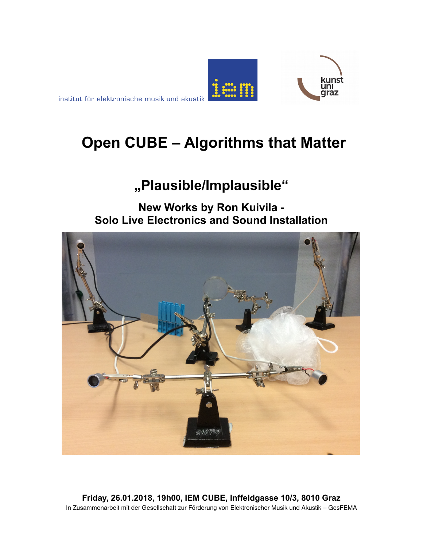



# **Open CUBE – Algorithms that Matter**

## **"Plausible/Implausible"**

## **New Works by Ron Kuivila - Solo Live Electronics and Sound Installation**



**Friday, 26.01.2018, 19h00, IEM CUBE, Inffeldgasse 10/3, 8010 Graz** In Zusammenarbeit mit der Gesellschaft zur Förderung von Elektronischer Musik und Akustik – GesFEMA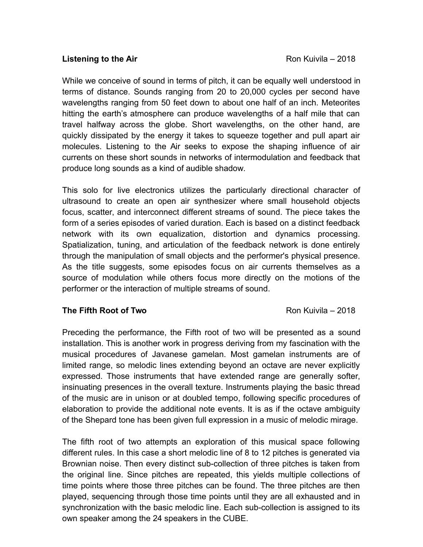#### **Listening to the Air Constant Constant Constant Constant Constant Constant Constant Constant Constant Constant Constant Constant Constant Constant Constant Constant Constant Constant Constant Constant Constant Constant**

While we conceive of sound in terms of pitch, it can be equally well understood in terms of distance. Sounds ranging from 20 to 20,000 cycles per second have wavelengths ranging from 50 feet down to about one half of an inch. Meteorites hitting the earth's atmosphere can produce wavelengths of a half mile that can travel halfway across the globe. Short wavelengths, on the other hand, are quickly dissipated by the energy it takes to squeeze together and pull apart air molecules. Listening to the Air seeks to expose the shaping influence of air currents on these short sounds in networks of intermodulation and feedback that produce long sounds as a kind of audible shadow.

This solo for live electronics utilizes the particularly directional character of ultrasound to create an open air synthesizer where small household objects focus, scatter, and interconnect different streams of sound. The piece takes the form of a series episodes of varied duration. Each is based on a distinct feedback network with its own equalization, distortion and dynamics processing. Spatialization, tuning, and articulation of the feedback network is done entirely through the manipulation of small objects and the performer's physical presence. As the title suggests, some episodes focus on air currents themselves as a source of modulation while others focus more directly on the motions of the performer or the interaction of multiple streams of sound.

#### **The Fifth Root of Two Roman Control Control Control Control Control Control Control Control Control Control Control Control Control Control Control Control Control Control Control Control Control Control Control Control C**

Preceding the performance, the Fifth root of two will be presented as a sound installation. This is another work in progress deriving from my fascination with the musical procedures of Javanese gamelan. Most gamelan instruments are of limited range, so melodic lines extending beyond an octave are never explicitly expressed. Those instruments that have extended range are generally softer, insinuating presences in the overall texture. Instruments playing the basic thread of the music are in unison or at doubled tempo, following specific procedures of elaboration to provide the additional note events. It is as if the octave ambiguity of the Shepard tone has been given full expression in a music of melodic mirage.

The fifth root of two attempts an exploration of this musical space following different rules. In this case a short melodic line of 8 to 12 pitches is generated via Brownian noise. Then every distinct sub-collection of three pitches is taken from the original line. Since pitches are repeated, this yields multiple collections of time points where those three pitches can be found. The three pitches are then played, sequencing through those time points until they are all exhausted and in synchronization with the basic melodic line. Each sub-collection is assigned to its own speaker among the 24 speakers in the CUBE.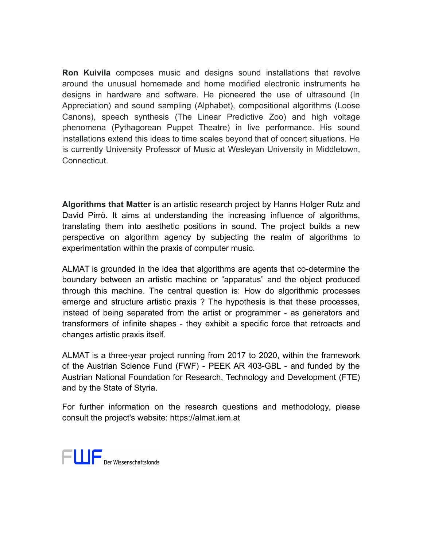**Ron Kuivila** composes music and designs sound installations that revolve around the unusual homemade and home modified electronic instruments he designs in hardware and software. He pioneered the use of ultrasound (In Appreciation) and sound sampling (Alphabet), compositional algorithms (Loose Canons), speech synthesis (The Linear Predictive Zoo) and high voltage phenomena (Pythagorean Puppet Theatre) in live performance. His sound installations extend this ideas to time scales beyond that of concert situations. He is currently University Professor of Music at Wesleyan University in Middletown, **Connecticut.** 

**Algorithms that Matter** is an artistic research project by Hanns Holger Rutz and David Pirrò. It aims at understanding the increasing influence of algorithms, translating them into aesthetic positions in sound. The project builds a new perspective on algorithm agency by subjecting the realm of algorithms to experimentation within the praxis of computer music.

ALMAT is grounded in the idea that algorithms are agents that co-determine the boundary between an artistic machine or "apparatus" and the object produced through this machine. The central question is: How do algorithmic processes emerge and structure artistic praxis ? The hypothesis is that these processes, instead of being separated from the artist or programmer - as generators and transformers of infinite shapes - they exhibit a specific force that retroacts and changes artistic praxis itself.

ALMAT is a three-year project running from 2017 to 2020, within the framework of the Austrian Science Fund (FWF) - PEEK AR 403-GBL - and funded by the Austrian National Foundation for Research, Technology and Development (FTE) and by the [State of Styria.](http://www.wissenschaft.steiermark.at/)

For further information on the research questions and methodology, please consult the project's website: https://almat.iem.at